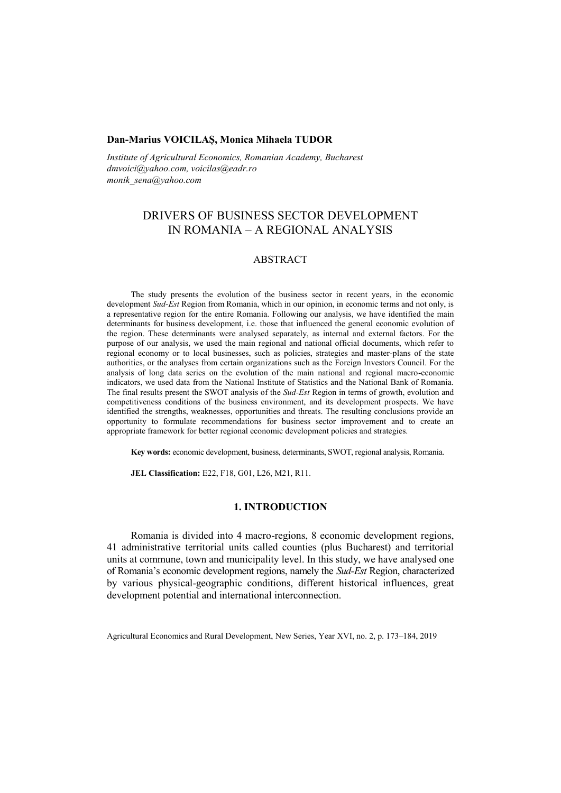## **Dan-Marius VOICILAȘ, Monica Mihaela TUDOR**

*Institute of Agricultural Economics, Romanian Academy, Bucharest dmvoici@yahoo.com, voicilas@eadr.ro monik\_sena@yahoo.com*

# DRIVERS OF BUSINESS SECTOR DEVELOPMENT IN ROMANIA – A REGIONAL ANALYSIS

# ABSTRACT

The study presents the evolution of the business sector in recent years, in the economic development *Sud-Est* Region from Romania, which in our opinion, in economic terms and not only, is a representative region for the entire Romania. Following our analysis, we have identified the main determinants for business development, i.e. those that influenced the general economic evolution of the region. These determinants were analysed separately, as internal and external factors. For the purpose of our analysis, we used the main regional and national official documents, which refer to regional economy or to local businesses, such as policies, strategies and master-plans of the state authorities, or the analyses from certain organizations such as the Foreign Investors Council. For the analysis of long data series on the evolution of the main national and regional macro-economic indicators, we used data from the National Institute of Statistics and the National Bank of Romania. The final results present the SWOT analysis of the *Sud-Est* Region in terms of growth, evolution and competitiveness conditions of the business environment, and its development prospects. We have identified the strengths, weaknesses, opportunities and threats. The resulting conclusions provide an opportunity to formulate recommendations for business sector improvement and to create an appropriate framework for better regional economic development policies and strategies.

**Key words:** economic development, business, determinants, SWOT, regional analysis, Romania.

**JEL Classification:** E22, F18, G01, L26, M21, R11.

# **1. INTRODUCTION**

Romania is divided into 4 macro-regions, 8 economic development regions, 41 administrative territorial units called counties (plus Bucharest) and territorial units at commune, town and municipality level. In this study, we have analysed one of Romania's economic development regions, namely the *Sud-Est* Region, characterized by various physical-geographic conditions, different historical influences, great development potential and international interconnection.

Agricultural Economics and Rural Development, New Series, Year XVI, no. 2, p. 173–184, 2019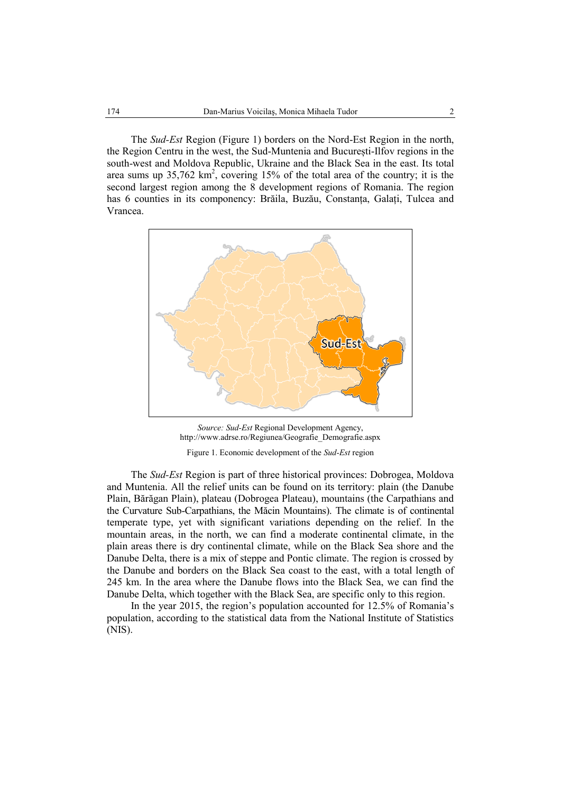The *Sud-Est* Region (Figure 1) borders on the Nord-Est Region in the north, the Region Centru in the west, the Sud-Muntenia and București-Ilfov regions in the south-west and Moldova Republic, Ukraine and the Black Sea in the east. Its total area sums up  $35,762 \text{ km}^2$ , covering 15% of the total area of the country; it is the second largest region among the 8 development regions of Romania. The region has 6 counties in its componency: Brăila, Buzău, Constanța, Galați, Tulcea and Vrancea.



*Source: Sud-Est* Regional Development Agency, http://www.adrse.ro/Regiunea/Geografie\_Demografie.aspx

Figure 1. Economic development of the *Sud-Est* region

The *Sud-Est* Region is part of three historical provinces: Dobrogea, Moldova and Muntenia. All the relief units can be found on its territory: plain (the Danube Plain, Bărăgan Plain), plateau (Dobrogea Plateau), mountains (the Carpathians and the Curvature Sub-Carpathians, the Măcin Mountains). The climate is of continental temperate type, yet with significant variations depending on the relief. In the mountain areas, in the north, we can find a moderate continental climate, in the plain areas there is dry continental climate, while on the Black Sea shore and the Danube Delta, there is a mix of steppe and Pontic climate. The region is crossed by the Danube and borders on the Black Sea coast to the east, with a total length of 245 km. In the area where the Danube flows into the Black Sea, we can find the Danube Delta, which together with the Black Sea, are specific only to this region.

In the year 2015, the region's population accounted for 12.5% of Romania's population, according to the statistical data from the National Institute of Statistics (NIS).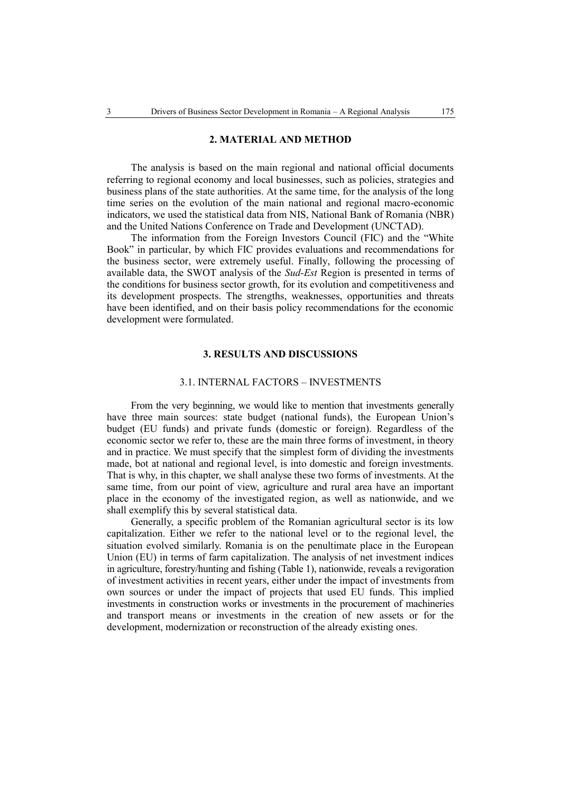## **2. MATERIAL AND METHOD**

The analysis is based on the main regional and national official documents referring to regional economy and local businesses, such as policies, strategies and business plans of the state authorities. At the same time, for the analysis of the long time series on the evolution of the main national and regional macro-economic indicators, we used the statistical data from NIS, National Bank of Romania (NBR) and the United Nations Conference on Trade and Development (UNCTAD).

The information from the Foreign Investors Council (FIC) and the "White Book" in particular, by which FIC provides evaluations and recommendations for the business sector, were extremely useful. Finally, following the processing of available data, the SWOT analysis of the *Sud-Est* Region is presented in terms of the conditions for business sector growth, for its evolution and competitiveness and its development prospects. The strengths, weaknesses, opportunities and threats have been identified, and on their basis policy recommendations for the economic development were formulated.

## **3. RESULTS AND DISCUSSIONS**

#### 3.1. INTERNAL FACTORS – INVESTMENTS

From the very beginning, we would like to mention that investments generally have three main sources: state budget (national funds), the European Union's budget (EU funds) and private funds (domestic or foreign). Regardless of the economic sector we refer to, these are the main three forms of investment, in theory and in practice. We must specify that the simplest form of dividing the investments made, bot at national and regional level, is into domestic and foreign investments. That is why, in this chapter, we shall analyse these two forms of investments. At the same time, from our point of view, agriculture and rural area have an important place in the economy of the investigated region, as well as nationwide, and we shall exemplify this by several statistical data.

Generally, a specific problem of the Romanian agricultural sector is its low capitalization. Either we refer to the national level or to the regional level, the situation evolved similarly. Romania is on the penultimate place in the European Union (EU) in terms of farm capitalization. The analysis of net investment indices in agriculture, forestry/hunting and fishing (Table 1), nationwide, reveals a revigoration of investment activities in recent years, either under the impact of investments from own sources or under the impact of projects that used EU funds. This implied investments in construction works or investments in the procurement of machineries and transport means or investments in the creation of new assets or for the development, modernization or reconstruction of the already existing ones.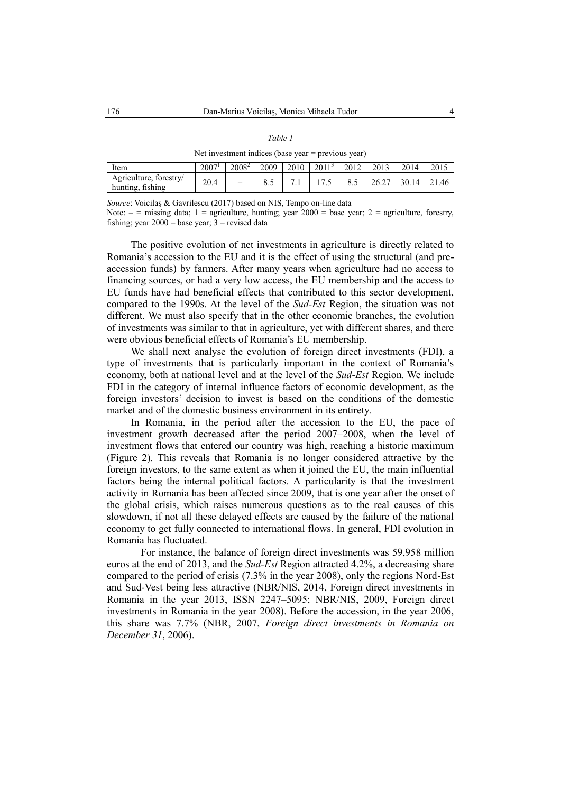| I |  |
|---|--|
|---|--|

Net investment indices (base year = previous year)

| Item                                       | 2007 <sup>1</sup> | $2008^2$                 | 2009 | $2010 + 2011^3$ |      | 2012 | 2013                  | 2014 | 2015 |
|--------------------------------------------|-------------------|--------------------------|------|-----------------|------|------|-----------------------|------|------|
| Agriculture, forestry/<br>hunting, fishing | 20.4              | $\overline{\phantom{a}}$ |      |                 | 17.5 | 8.5  | 26.27   30.14   21.46 |      |      |

*Source*: Voicilaş & Gavrilescu (2017) based on NIS, Tempo on-line data

Note:  $-$  = missing data; 1 = agriculture, hunting; year 2000 = base year; 2 = agriculture, forestry, fishing; year  $2000 =$  base year;  $3 =$  revised data

The positive evolution of net investments in agriculture is directly related to Romania's accession to the EU and it is the effect of using the structural (and preaccession funds) by farmers. After many years when agriculture had no access to financing sources, or had a very low access, the EU membership and the access to EU funds have had beneficial effects that contributed to this sector development, compared to the 1990s. At the level of the *Sud-Est* Region, the situation was not different. We must also specify that in the other economic branches, the evolution of investments was similar to that in agriculture, yet with different shares, and there were obvious beneficial effects of Romania's EU membership.

We shall next analyse the evolution of foreign direct investments (FDI), a type of investments that is particularly important in the context of Romania's economy, both at national level and at the level of the *Sud-Est* Region. We include FDI in the category of internal influence factors of economic development, as the foreign investors' decision to invest is based on the conditions of the domestic market and of the domestic business environment in its entirety.

In Romania, in the period after the accession to the EU, the pace of investment growth decreased after the period 2007–2008, when the level of investment flows that entered our country was high, reaching a historic maximum (Figure 2). This reveals that Romania is no longer considered attractive by the foreign investors, to the same extent as when it joined the EU, the main influential factors being the internal political factors. A particularity is that the investment activity in Romania has been affected since 2009, that is one year after the onset of the global crisis, which raises numerous questions as to the real causes of this slowdown, if not all these delayed effects are caused by the failure of the national economy to get fully connected to international flows. In general, FDI evolution in Romania has fluctuated.

For instance, the balance of foreign direct investments was 59,958 million euros at the end of 2013, and the *Sud-Est* Region attracted 4.2%, a decreasing share compared to the period of crisis (7.3% in the year 2008), only the regions Nord-Est and Sud-Vest being less attractive (NBR/NIS, 2014, Foreign direct investments in Romania in the year 2013, ISSN 2247–5095; NBR/NIS, 2009, Foreign direct investments in Romania in the year 2008). Before the accession, in the year 2006, this share was 7.7% (NBR, 2007, *Foreign direct investments in Romania on December 31*, 2006).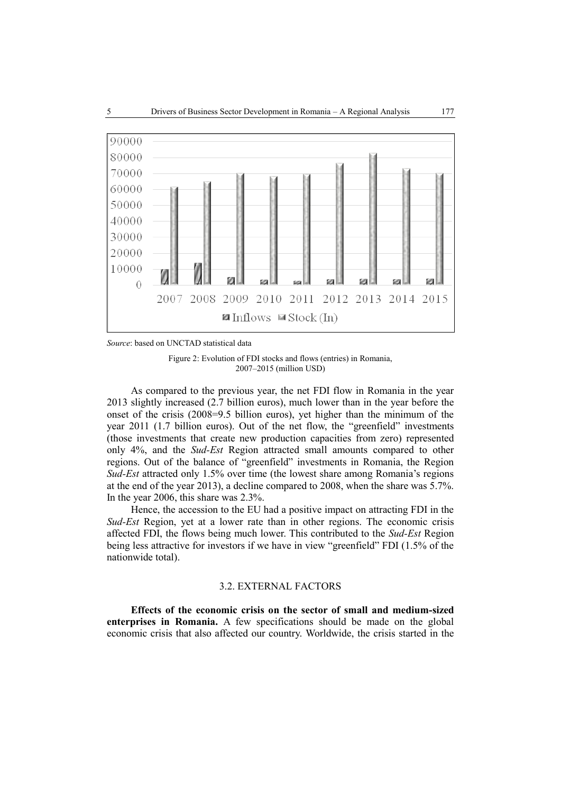

*Source*: based on UNCTAD statistical data

Figure 2: Evolution of FDI stocks and flows (entries) in Romania, 2007–2015 (million USD)

As compared to the previous year, the net FDI flow in Romania in the year 2013 slightly increased (2.7 billion euros), much lower than in the year before the onset of the crisis (2008=9.5 billion euros), yet higher than the minimum of the year 2011 (1.7 billion euros). Out of the net flow, the "greenfield" investments (those investments that create new production capacities from zero) represented only 4%, and the *Sud-Est* Region attracted small amounts compared to other regions. Out of the balance of "greenfield" investments in Romania, the Region *Sud-Est* attracted only 1.5% over time (the lowest share among Romania's regions at the end of the year 2013), a decline compared to 2008, when the share was 5.7%. In the year 2006, this share was 2.3%.

Hence, the accession to the EU had a positive impact on attracting FDI in the *Sud-Est* Region, yet at a lower rate than in other regions. The economic crisis affected FDI, the flows being much lower. This contributed to the *Sud-Est* Region being less attractive for investors if we have in view "greenfield" FDI (1.5% of the nationwide total).

# 3.2. EXTERNAL FACTORS

**Effects of the economic crisis on the sector of small and medium-sized enterprises in Romania.** A few specifications should be made on the global economic crisis that also affected our country. Worldwide, the crisis started in the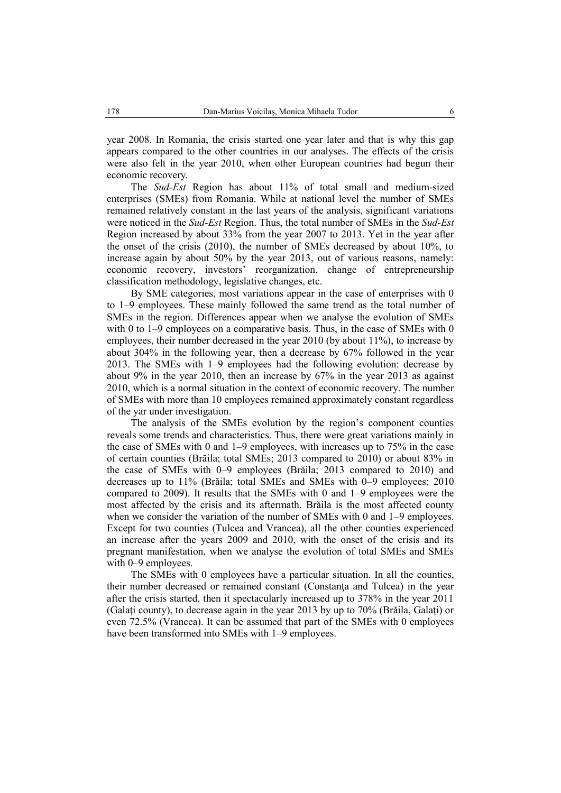year 2008. In Romania, the crisis started one year later and that is why this gap appears compared to the other countries in our analyses. The effects of the crisis were also felt in the year 2010, when other European countries had begun their economic recovery.

The *Sud-Est* Region has about 11% of total small and medium-sized enterprises (SMEs) from Romania. While at national level the number of SMEs remained relatively constant in the last years of the analysis, significant variations were noticed in the *Sud-Est* Region. Thus, the total number of SMEs in the *Sud-Est* Region increased by about 33% from the year 2007 to 2013. Yet in the year after the onset of the crisis (2010), the number of SMEs decreased by about 10%, to increase again by about 50% by the year 2013, out of various reasons, namely: economic recovery, investors' reorganization, change of entrepreneurship classification methodology, legislative changes, etc.

By SME categories, most variations appear in the case of enterprises with 0 to 1–9 employees. These mainly followed the same trend as the total number of SMEs in the region. Differences appear when we analyse the evolution of SMEs with 0 to 1–9 employees on a comparative basis. Thus, in the case of SMEs with 0 employees, their number decreased in the year 2010 (by about 11%), to increase by about 304% in the following year, then a decrease by 67% followed in the year 2013. The SMEs with 1–9 employees had the following evolution: decrease by about 9% in the year 2010, then an increase by 67% in the year 2013 as against 2010, which is a normal situation in the context of economic recovery. The number of SMEs with more than 10 employees remained approximately constant regardless of the yar under investigation.

The analysis of the SMEs evolution by the region's component counties reveals some trends and characteristics. Thus, there were great variations mainly in the case of SMEs with 0 and 1–9 employees, with increases up to 75% in the case of certain counties (Brăila; total SMEs; 2013 compared to 2010) or about 83% in the case of SMEs with 0–9 employees (Brăila; 2013 compared to 2010) and decreases up to 11% (Brăila; total SMEs and SMEs with 0–9 employees; 2010 compared to 2009). It results that the SMEs with 0 and 1–9 employees were the most affected by the crisis and its aftermath. Brăila is the most affected county when we consider the variation of the number of SMEs with 0 and 1–9 employees. Except for two counties (Tulcea and Vrancea), all the other counties experienced an increase after the years 2009 and 2010, with the onset of the crisis and its pregnant manifestation, when we analyse the evolution of total SMEs and SMEs with 0–9 employees.

The SMEs with 0 employees have a particular situation. In all the counties, their number decreased or remained constant (Constanţa and Tulcea) in the year after the crisis started, then it spectacularly increased up to 378% in the year 2011 (Galaţi county), to decrease again in the year 2013 by up to 70% (Brăila, Galaţi) or even 72.5% (Vrancea). It can be assumed that part of the SMEs with 0 employees have been transformed into SMEs with 1-9 employees.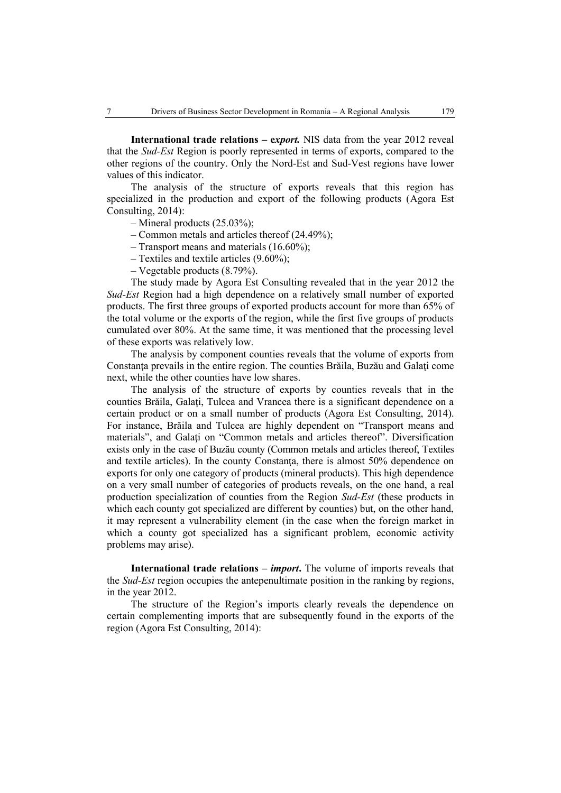**International trade relations – export.** NIS data from the year 2012 reveal that the *Sud-Est* Region is poorly represented in terms of exports, compared to the other regions of the country. Only the Nord-Est and Sud-Vest regions have lower values of this indicator.

The analysis of the structure of exports reveals that this region has specialized in the production and export of the following products (Agora Est Consulting, 2014):

- Mineral products (25.03%);
- Common metals and articles thereof (24.49%);
- Transport means and materials (16.60%);
- Textiles and textile articles (9.60%);
- Vegetable products (8.79%).

The study made by Agora Est Consulting revealed that in the year 2012 the *Sud-Est* Region had a high dependence on a relatively small number of exported products. The first three groups of exported products account for more than 65% of the total volume or the exports of the region, while the first five groups of products cumulated over 80%. At the same time, it was mentioned that the processing level of these exports was relatively low.

The analysis by component counties reveals that the volume of exports from Constanţa prevails in the entire region. The counties Brăila, Buzău and Galaţi come next, while the other counties have low shares.

The analysis of the structure of exports by counties reveals that in the counties Brăila, Galaţi, Tulcea and Vrancea there is a significant dependence on a certain product or on a small number of products (Agora Est Consulting, 2014). For instance, Brăila and Tulcea are highly dependent on "Transport means and materials", and Galați on "Common metals and articles thereof". Diversification exists only in the case of Buzău county (Common metals and articles thereof, Textiles and textile articles). In the county Constanta, there is almost 50% dependence on exports for only one category of products (mineral products). This high dependence on a very small number of categories of products reveals, on the one hand, a real production specialization of counties from the Region *Sud-Est* (these products in which each county got specialized are different by counties) but, on the other hand, it may represent a vulnerability element (in the case when the foreign market in which a county got specialized has a significant problem, economic activity problems may arise).

**International trade relations –** *import*. The volume of imports reveals that the *Sud-Est* region occupies the antepenultimate position in the ranking by regions, in the year 2012.

The structure of the Region's imports clearly reveals the dependence on certain complementing imports that are subsequently found in the exports of the region (Agora Est Consulting, 2014):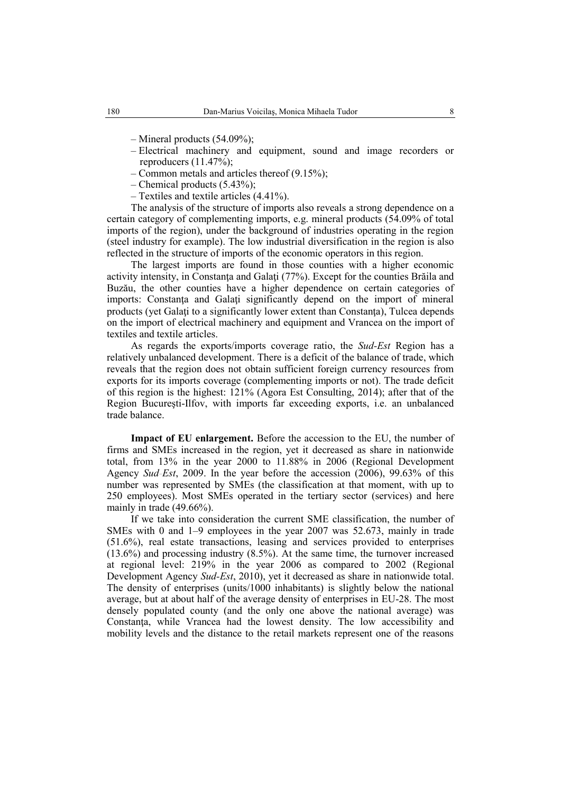- Mineral products (54.09%);
- Electrical machinery and equipment, sound and image recorders or reproducers (11.47%);
- Common metals and articles thereof (9.15%);
- Chemical products (5.43%);
- Textiles and textile articles (4.41%).

The analysis of the structure of imports also reveals a strong dependence on a certain category of complementing imports, e.g. mineral products (54.09% of total imports of the region), under the background of industries operating in the region (steel industry for example). The low industrial diversification in the region is also reflected in the structure of imports of the economic operators in this region.

The largest imports are found in those counties with a higher economic activity intensity, in Constanţa and Galaţi (77%). Except for the counties Brăila and Buzău, the other counties have a higher dependence on certain categories of imports: Constanta and Galati significantly depend on the import of mineral products (yet Galati to a significantly lower extent than Constanta), Tulcea depends on the import of electrical machinery and equipment and Vrancea on the import of textiles and textile articles.

As regards the exports/imports coverage ratio, the *Sud-Est* Region has a relatively unbalanced development. There is a deficit of the balance of trade, which reveals that the region does not obtain sufficient foreign currency resources from exports for its imports coverage (complementing imports or not). The trade deficit of this region is the highest: 121% (Agora Est Consulting, 2014); after that of the Region Bucureşti-Ilfov, with imports far exceeding exports, i.e. an unbalanced trade balance.

**Impact of EU enlargement.** Before the accession to the EU, the number of firms and SMEs increased in the region, yet it decreased as share in nationwide total, from 13% in the year 2000 to 11.88% in 2006 (Regional Development Agency *Sud-Est*, 2009. In the year before the accession (2006), 99.63% of this number was represented by SMEs (the classification at that moment, with up to 250 employees). Most SMEs operated in the tertiary sector (services) and here mainly in trade (49.66%).

If we take into consideration the current SME classification, the number of SMEs with 0 and 1–9 employees in the year 2007 was 52.673, mainly in trade (51.6%), real estate transactions, leasing and services provided to enterprises (13.6%) and processing industry (8.5%). At the same time, the turnover increased at regional level: 219% in the year 2006 as compared to 2002 (Regional Development Agency *Sud-Est*, 2010), yet it decreased as share in nationwide total. The density of enterprises (units/1000 inhabitants) is slightly below the national average, but at about half of the average density of enterprises in EU-28. The most densely populated county (and the only one above the national average) was Constanţa, while Vrancea had the lowest density. The low accessibility and mobility levels and the distance to the retail markets represent one of the reasons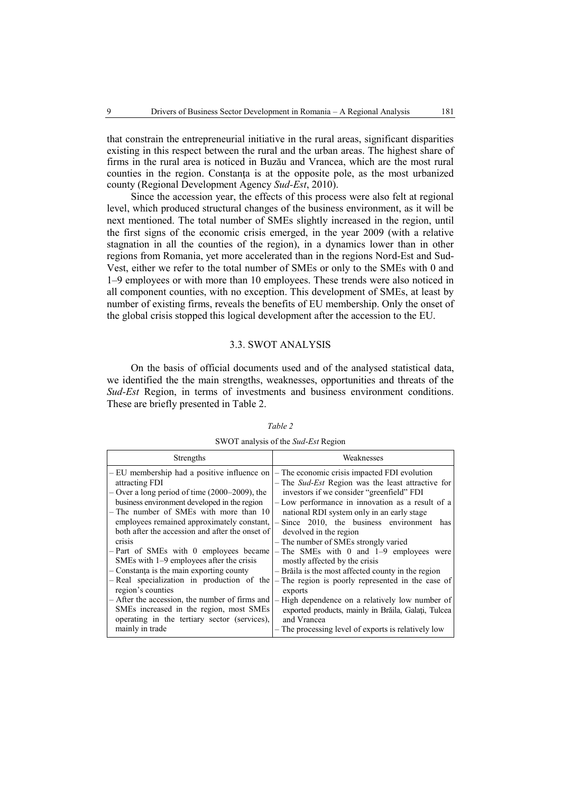that constrain the entrepreneurial initiative in the rural areas, significant disparities existing in this respect between the rural and the urban areas. The highest share of firms in the rural area is noticed in Buzău and Vrancea, which are the most rural counties in the region. Constanţa is at the opposite pole, as the most urbanized county (Regional Development Agency *Sud-Est*, 2010).

Since the accession year, the effects of this process were also felt at regional level, which produced structural changes of the business environment, as it will be next mentioned. The total number of SMEs slightly increased in the region, until the first signs of the economic crisis emerged, in the year 2009 (with a relative stagnation in all the counties of the region), in a dynamics lower than in other regions from Romania, yet more accelerated than in the regions Nord-Est and Sud-Vest, either we refer to the total number of SMEs or only to the SMEs with 0 and 1–9 employees or with more than 10 employees. These trends were also noticed in all component counties, with no exception. This development of SMEs, at least by number of existing firms, reveals the benefits of EU membership. Only the onset of the global crisis stopped this logical development after the accession to the EU.

# 3.3. SWOT ANALYSIS

On the basis of official documents used and of the analysed statistical data, we identified the the main strengths, weaknesses, opportunities and threats of the *Sud-Est* Region, in terms of investments and business environment conditions. These are briefly presented in Table 2.

| SWOT analysis of the Sud-Est Region |
|-------------------------------------|
|-------------------------------------|

| Strengths                                                                                                                                                                                                                                                                                                                                                                                                                                                                                                                                                                                                                                                                                      | Weaknesses                                                                                                                                                                                                                                                                                                                                                                                                                                                                                                                                                                                                                                                                                                                                                       |
|------------------------------------------------------------------------------------------------------------------------------------------------------------------------------------------------------------------------------------------------------------------------------------------------------------------------------------------------------------------------------------------------------------------------------------------------------------------------------------------------------------------------------------------------------------------------------------------------------------------------------------------------------------------------------------------------|------------------------------------------------------------------------------------------------------------------------------------------------------------------------------------------------------------------------------------------------------------------------------------------------------------------------------------------------------------------------------------------------------------------------------------------------------------------------------------------------------------------------------------------------------------------------------------------------------------------------------------------------------------------------------------------------------------------------------------------------------------------|
| - EU membership had a positive influence on<br>attracting FDI<br>$-$ Over a long period of time (2000–2009), the<br>business environment developed in the region<br>- The number of SMEs with more than 10<br>employees remained approximately constant,<br>both after the accession and after the onset of<br>crisis<br>$-$ Part of SMEs with 0 employees became<br>SMEs with 1-9 employees after the crisis<br>$-$ Constanta is the main exporting county<br>- Real specialization in production of the<br>region's counties<br>- After the accession, the number of firms and<br>SMEs increased in the region, most SMEs<br>operating in the tertiary sector (services),<br>mainly in trade | - The economic crisis impacted FDI evolution<br>$-$ The <i>Sud-Est</i> Region was the least attractive for<br>investors if we consider "greenfield" FDI<br>- Low performance in innovation as a result of a<br>national RDI system only in an early stage<br>$-$ Since 2010, the business environment has<br>devolved in the region<br>- The number of SMEs strongly varied<br>$-$ The SMEs with 0 and 1-9 employees were<br>mostly affected by the crisis<br>- Brăila is the most affected county in the region<br>- The region is poorly represented in the case of<br>exports<br>- High dependence on a relatively low number of<br>exported products, mainly in Brăila, Galați, Tulcea<br>and Vrancea<br>- The processing level of exports is relatively low |
|                                                                                                                                                                                                                                                                                                                                                                                                                                                                                                                                                                                                                                                                                                |                                                                                                                                                                                                                                                                                                                                                                                                                                                                                                                                                                                                                                                                                                                                                                  |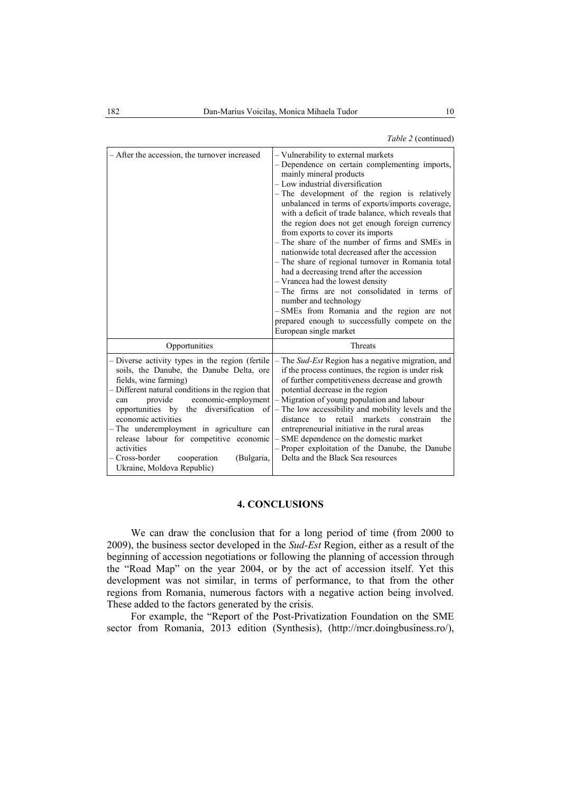| - After the accession, the turnover increased                                                                                                                                                                                                                                                                                                                                                        | - Vulnerability to external markets<br>- Dependence on certain complementing imports,<br>mainly mineral products<br>- Low industrial diversification<br>- The development of the region is relatively<br>unbalanced in terms of exports/imports coverage,<br>with a deficit of trade balance, which reveals that<br>the region does not get enough foreign currency<br>from exports to cover its imports<br>- The share of the number of firms and SMEs in<br>nationwide total decreased after the accession<br>- The share of regional turnover in Romania total<br>had a decreasing trend after the accession<br>- Vrancea had the lowest density<br>$-$ The firms are not consolidated in terms of<br>number and technology<br>-SMEs from Romania and the region are not<br>prepared enough to successfully compete on the<br>European single market |
|------------------------------------------------------------------------------------------------------------------------------------------------------------------------------------------------------------------------------------------------------------------------------------------------------------------------------------------------------------------------------------------------------|---------------------------------------------------------------------------------------------------------------------------------------------------------------------------------------------------------------------------------------------------------------------------------------------------------------------------------------------------------------------------------------------------------------------------------------------------------------------------------------------------------------------------------------------------------------------------------------------------------------------------------------------------------------------------------------------------------------------------------------------------------------------------------------------------------------------------------------------------------|
| Opportunities                                                                                                                                                                                                                                                                                                                                                                                        | Threats                                                                                                                                                                                                                                                                                                                                                                                                                                                                                                                                                                                                                                                                                                                                                                                                                                                 |
| - Diverse activity types in the region (fertile<br>soils, the Danube, the Danube Delta, ore<br>fields, wine farming)<br>- Different natural conditions in the region that<br>provide<br>can<br>economic activities<br>- The underemployment in agriculture can<br>release labour for competitive economic<br>activities<br>- Cross-border<br>cooperation<br>(Bulgaria,<br>Ukraine, Moldova Republic) | $-$ The Sud-Est Region has a negative migration, and<br>if the process continues, the region is under risk<br>of further competitiveness decrease and growth<br>potential decrease in the region<br>economic-employment   – Migration of young population and labour<br>opportunities by the diversification of $\vert$ - The low accessibility and mobility levels and the<br>markets constrain<br>distance<br>retail<br>the<br>$t_{\Omega}$<br>entrepreneurial initiative in the rural areas<br>- SME dependence on the domestic market<br>- Proper exploitation of the Danube, the Danube<br>Delta and the Black Sea resources                                                                                                                                                                                                                       |

# **4. CONCLUSIONS**

We can draw the conclusion that for a long period of time (from 2000 to 2009), the business sector developed in the *Sud-Est* Region, either as a result of the beginning of accession negotiations or following the planning of accession through the "Road Map" on the year 2004, or by the act of accession itself. Yet this development was not similar, in terms of performance, to that from the other regions from Romania, numerous factors with a negative action being involved. These added to the factors generated by the crisis.

For example, the "Report of the Post-Privatization Foundation on the SME sector from Romania, 2013 edition (Synthesis), (http://mcr.doingbusiness.ro/),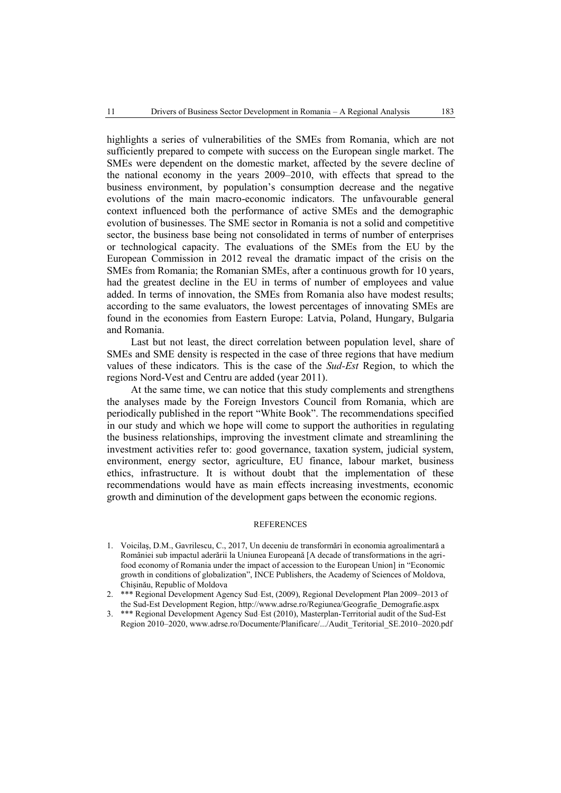highlights a series of vulnerabilities of the SMEs from Romania, which are not sufficiently prepared to compete with success on the European single market. The SMEs were dependent on the domestic market, affected by the severe decline of the national economy in the years 2009–2010, with effects that spread to the business environment, by population's consumption decrease and the negative evolutions of the main macro-economic indicators. The unfavourable general context influenced both the performance of active SMEs and the demographic evolution of businesses. The SME sector in Romania is not a solid and competitive sector, the business base being not consolidated in terms of number of enterprises or technological capacity. The evaluations of the SMEs from the EU by the European Commission in 2012 reveal the dramatic impact of the crisis on the SMEs from Romania; the Romanian SMEs, after a continuous growth for 10 years, had the greatest decline in the EU in terms of number of employees and value added. In terms of innovation, the SMEs from Romania also have modest results; according to the same evaluators, the lowest percentages of innovating SMEs are found in the economies from Eastern Europe: Latvia, Poland, Hungary, Bulgaria and Romania.

Last but not least, the direct correlation between population level, share of SMEs and SME density is respected in the case of three regions that have medium values of these indicators. This is the case of the *Sud-Est* Region, to which the regions Nord-Vest and Centru are added (year 2011).

At the same time, we can notice that this study complements and strengthens the analyses made by the Foreign Investors Council from Romania, which are periodically published in the report "White Book". The recommendations specified in our study and which we hope will come to support the authorities in regulating the business relationships, improving the investment climate and streamlining the investment activities refer to: good governance, taxation system, judicial system, environment, energy sector, agriculture, EU finance, labour market, business ethics, infrastructure. It is without doubt that the implementation of these recommendations would have as main effects increasing investments, economic growth and diminution of the development gaps between the economic regions.

#### REFERENCES

- 1. Voicilaş, D.M., Gavrilescu, C., 2017, Un deceniu de transformări în economia agroalimentară a României sub impactul aderării la Uniunea Europeană [A decade of transformations in the agrifood economy of Romania under the impact of accession to the European Union] in "Economic growth in conditions of globalization", INCE Publishers, the Academy of Sciences of Moldova, Chişinău, Republic of Moldova
- 2. \*\*\* Regional Development Agency Sud-Est, (2009), Regional Development Plan 2009–2013 of the Sud-Est Development Region, http://www.adrse.ro/Regiunea/Geografie\_Demografie.aspx
- 3. \*\*\* Regional Development Agency Sud-Est (2010), Masterplan-Territorial audit of the Sud-Est Region 2010–2020, www.adrse.ro/Documente/Planificare/.../Audit\_Teritorial\_SE.2010–2020.pdf